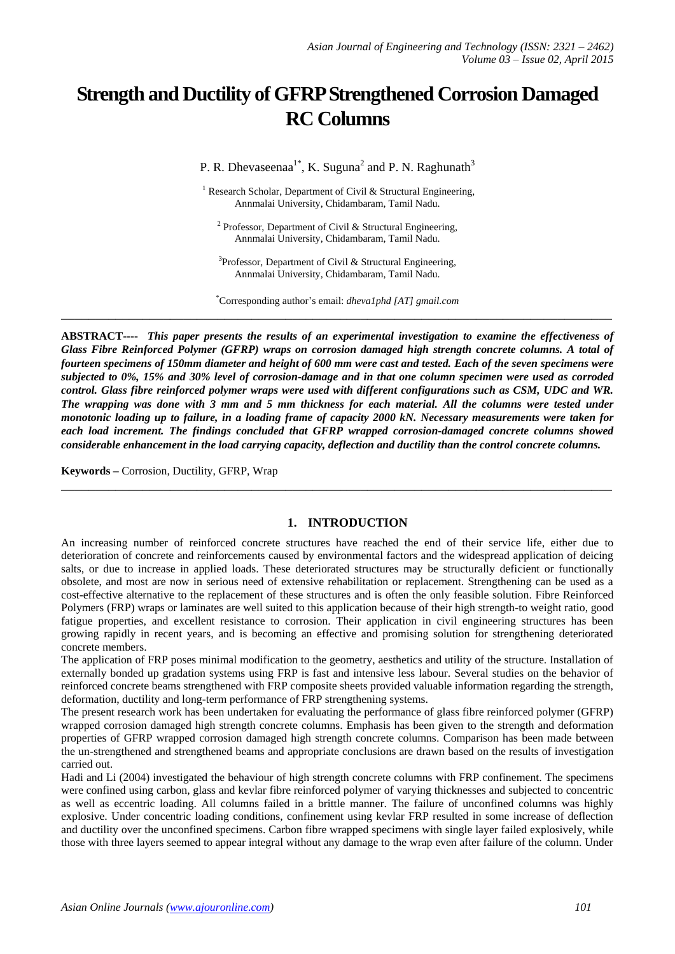# **Strength and Ductility of GFRP Strengthened Corrosion Damaged RC Columns**

P. R. Dhevaseenaa<sup>1\*</sup>, K. Suguna<sup>2</sup> and P. N. Raghunath<sup>3</sup>

<sup>1</sup> Research Scholar, Department of Civil & Structural Engineering, Annmalai University, Chidambaram, Tamil Nadu.

<sup>2</sup> Professor, Department of Civil & Structural Engineering, Annmalai University, Chidambaram, Tamil Nadu.

<sup>3</sup>Professor, Department of Civil & Structural Engineering, Annmalai University, Chidambaram, Tamil Nadu.

\*Corresponding author's email: *dheva1phd [AT] gmail.com* **\_\_\_\_\_\_\_\_\_\_\_\_\_\_\_\_\_\_\_\_\_\_\_\_\_\_\_\_\_\_\_\_\_\_\_\_\_\_\_\_\_\_\_\_\_\_\_\_\_\_\_\_\_\_\_\_\_\_\_\_\_\_\_\_\_\_\_\_\_\_\_\_\_\_\_\_\_\_\_\_\_**

**ABSTRACT----** *This paper presents the results of an experimental investigation to examine the effectiveness of Glass Fibre Reinforced Polymer (GFRP) wraps on corrosion damaged high strength concrete columns. A total of fourteen specimens of 150mm diameter and height of 600 mm were cast and tested. Each of the seven specimens were subjected to 0%, 15% and 30% level of corrosion-damage and in that one column specimen were used as corroded control. Glass fibre reinforced polymer wraps were used with different configurations such as CSM, UDC and WR. The wrapping was done with 3 mm and 5 mm thickness for each material. All the columns were tested under monotonic loading up to failure, in a loading frame of capacity 2000 kN. Necessary measurements were taken for each load increment. The findings concluded that GFRP wrapped corrosion-damaged concrete columns showed considerable enhancement in the load carrying capacity, deflection and ductility than the control concrete columns.*

**Keywords –** Corrosion, Ductility, GFRP, Wrap

### **1. INTRODUCTION**

**\_\_\_\_\_\_\_\_\_\_\_\_\_\_\_\_\_\_\_\_\_\_\_\_\_\_\_\_\_\_\_\_\_\_\_\_\_\_\_\_\_\_\_\_\_\_\_\_\_\_\_\_\_\_\_\_\_\_\_\_\_\_\_\_\_\_\_\_\_\_\_\_\_\_\_\_\_\_\_\_\_**

An increasing number of reinforced concrete structures have reached the end of their service life, either due to deterioration of concrete and reinforcements caused by environmental factors and the widespread application of deicing salts, or due to increase in applied loads. These deteriorated structures may be structurally deficient or functionally obsolete, and most are now in serious need of extensive rehabilitation or replacement. Strengthening can be used as a cost-effective alternative to the replacement of these structures and is often the only feasible solution. Fibre Reinforced Polymers (FRP) wraps or laminates are well suited to this application because of their high strength-to weight ratio, good fatigue properties, and excellent resistance to corrosion. Their application in civil engineering structures has been growing rapidly in recent years, and is becoming an effective and promising solution for strengthening deteriorated concrete members.

The application of FRP poses minimal modification to the geometry, aesthetics and utility of the structure. Installation of externally bonded up gradation systems using FRP is fast and intensive less labour. Several studies on the behavior of reinforced concrete beams strengthened with FRP composite sheets provided valuable information regarding the strength, deformation, ductility and long-term performance of FRP strengthening systems.

The present research work has been undertaken for evaluating the performance of glass fibre reinforced polymer (GFRP) wrapped corrosion damaged high strength concrete columns. Emphasis has been given to the strength and deformation properties of GFRP wrapped corrosion damaged high strength concrete columns. Comparison has been made between the un-strengthened and strengthened beams and appropriate conclusions are drawn based on the results of investigation carried out.

Hadi and Li (2004) investigated the behaviour of high strength concrete columns with FRP confinement. The specimens were confined using carbon, glass and kevlar fibre reinforced polymer of varying thicknesses and subjected to concentric as well as eccentric loading. All columns failed in a brittle manner. The failure of unconfined columns was highly explosive. Under concentric loading conditions, confinement using kevlar FRP resulted in some increase of deflection and ductility over the unconfined specimens. Carbon fibre wrapped specimens with single layer failed explosively, while those with three layers seemed to appear integral without any damage to the wrap even after failure of the column. Under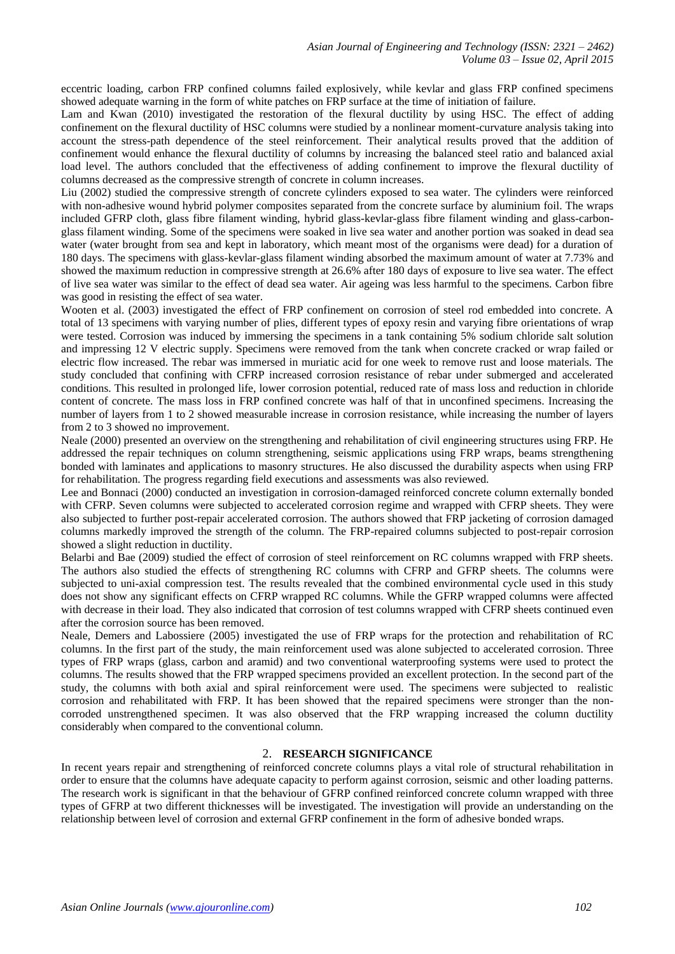eccentric loading, carbon FRP confined columns failed explosively, while kevlar and glass FRP confined specimens showed adequate warning in the form of white patches on FRP surface at the time of initiation of failure.

Lam and Kwan (2010) investigated the restoration of the flexural ductility by using HSC. The effect of adding confinement on the flexural ductility of HSC columns were studied by a nonlinear moment-curvature analysis taking into account the stress-path dependence of the steel reinforcement. Their analytical results proved that the addition of confinement would enhance the flexural ductility of columns by increasing the balanced steel ratio and balanced axial load level. The authors concluded that the effectiveness of adding confinement to improve the flexural ductility of columns decreased as the compressive strength of concrete in column increases.

Liu (2002) studied the compressive strength of concrete cylinders exposed to sea water. The cylinders were reinforced with non-adhesive wound hybrid polymer composites separated from the concrete surface by aluminium foil. The wraps included GFRP cloth, glass fibre filament winding, hybrid glass-kevlar-glass fibre filament winding and glass-carbonglass filament winding. Some of the specimens were soaked in live sea water and another portion was soaked in dead sea water (water brought from sea and kept in laboratory, which meant most of the organisms were dead) for a duration of 180 days. The specimens with glass-kevlar-glass filament winding absorbed the maximum amount of water at 7.73% and showed the maximum reduction in compressive strength at 26.6% after 180 days of exposure to live sea water. The effect of live sea water was similar to the effect of dead sea water. Air ageing was less harmful to the specimens. Carbon fibre was good in resisting the effect of sea water.

Wooten et al. (2003) investigated the effect of FRP confinement on corrosion of steel rod embedded into concrete. A total of 13 specimens with varying number of plies, different types of epoxy resin and varying fibre orientations of wrap were tested. Corrosion was induced by immersing the specimens in a tank containing 5% sodium chloride salt solution and impressing 12 V electric supply. Specimens were removed from the tank when concrete cracked or wrap failed or electric flow increased. The rebar was immersed in muriatic acid for one week to remove rust and loose materials. The study concluded that confining with CFRP increased corrosion resistance of rebar under submerged and accelerated conditions. This resulted in prolonged life, lower corrosion potential, reduced rate of mass loss and reduction in chloride content of concrete. The mass loss in FRP confined concrete was half of that in unconfined specimens. Increasing the number of layers from 1 to 2 showed measurable increase in corrosion resistance, while increasing the number of layers from 2 to 3 showed no improvement.

Neale (2000) presented an overview on the strengthening and rehabilitation of civil engineering structures using FRP. He addressed the repair techniques on column strengthening, seismic applications using FRP wraps, beams strengthening bonded with laminates and applications to masonry structures. He also discussed the durability aspects when using FRP for rehabilitation. The progress regarding field executions and assessments was also reviewed.

Lee and Bonnaci (2000) conducted an investigation in corrosion-damaged reinforced concrete column externally bonded with CFRP. Seven columns were subjected to accelerated corrosion regime and wrapped with CFRP sheets. They were also subjected to further post-repair accelerated corrosion. The authors showed that FRP jacketing of corrosion damaged columns markedly improved the strength of the column. The FRP-repaired columns subjected to post-repair corrosion showed a slight reduction in ductility.

Belarbi and Bae (2009) studied the effect of corrosion of steel reinforcement on RC columns wrapped with FRP sheets. The authors also studied the effects of strengthening RC columns with CFRP and GFRP sheets. The columns were subjected to uni-axial compression test. The results revealed that the combined environmental cycle used in this study does not show any significant effects on CFRP wrapped RC columns. While the GFRP wrapped columns were affected with decrease in their load. They also indicated that corrosion of test columns wrapped with CFRP sheets continued even after the corrosion source has been removed.

Neale, Demers and Labossiere (2005) investigated the use of FRP wraps for the protection and rehabilitation of RC columns. In the first part of the study, the main reinforcement used was alone subjected to accelerated corrosion. Three types of FRP wraps (glass, carbon and aramid) and two conventional waterproofing systems were used to protect the columns. The results showed that the FRP wrapped specimens provided an excellent protection. In the second part of the study, the columns with both axial and spiral reinforcement were used. The specimens were subjected to realistic corrosion and rehabilitated with FRP. It has been showed that the repaired specimens were stronger than the noncorroded unstrengthened specimen. It was also observed that the FRP wrapping increased the column ductility considerably when compared to the conventional column.

#### 2. **RESEARCH SIGNIFICANCE**

In recent years repair and strengthening of reinforced concrete columns plays a vital role of structural rehabilitation in order to ensure that the columns have adequate capacity to perform against corrosion, seismic and other loading patterns. The research work is significant in that the behaviour of GFRP confined reinforced concrete column wrapped with three types of GFRP at two different thicknesses will be investigated. The investigation will provide an understanding on the relationship between level of corrosion and external GFRP confinement in the form of adhesive bonded wraps.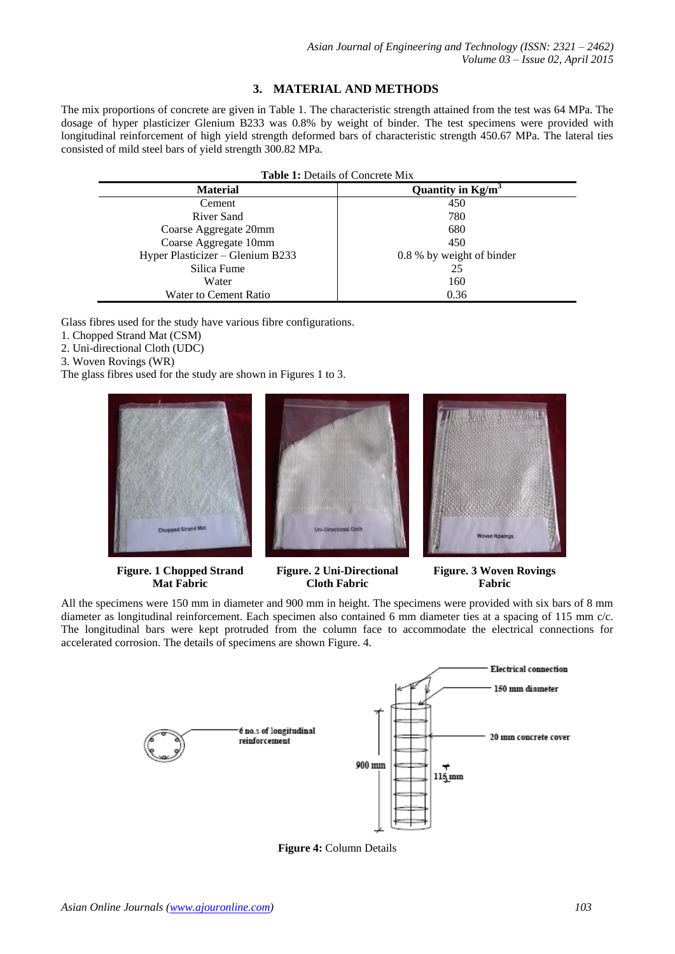## **3. MATERIAL AND METHODS**

The mix proportions of concrete are given in Table 1. The characteristic strength attained from the test was 64 MPa. The dosage of hyper plasticizer Glenium B233 was 0.8% by weight of binder. The test specimens were provided with longitudinal reinforcement of high yield strength deformed bars of characteristic strength 450.67 MPa. The lateral ties consisted of mild steel bars of yield strength 300.82 MPa.

| <b>Table 1: Details of Concrete Mix</b> |                           |  |  |  |
|-----------------------------------------|---------------------------|--|--|--|
| <b>Material</b>                         | Quantity in $Kg/m^3$      |  |  |  |
| Cement                                  | 450                       |  |  |  |
| River Sand                              | 780                       |  |  |  |
| Coarse Aggregate 20mm                   | 680                       |  |  |  |
| Coarse Aggregate 10mm                   | 450                       |  |  |  |
| Hyper Plasticizer - Glenium B233        | 0.8 % by weight of binder |  |  |  |
| Silica Fume                             | 25                        |  |  |  |
| Water                                   | 160                       |  |  |  |
| Water to Cement Ratio                   | 0.36                      |  |  |  |

Glass fibres used for the study have various fibre configurations.

- 1. Chopped Strand Mat (CSM)
- 2. Uni-directional Cloth (UDC)
- 3. Woven Rovings (WR)
- The glass fibres used for the study are shown in Figures 1 to 3.



**Figure. 1 Chopped Strand Mat Fabric**

**Figure. 2 Uni-Directional Cloth Fabric**

**Figure. 3 Woven Rovings Fabric**

All the specimens were 150 mm in diameter and 900 mm in height. The specimens were provided with six bars of 8 mm diameter as longitudinal reinforcement. Each specimen also contained 6 mm diameter ties at a spacing of 115 mm c/c. The longitudinal bars were kept protruded from the column face to accommodate the electrical connections for accelerated corrosion. The details of specimens are shown Figure. 4.



**Figure 4:** Column Details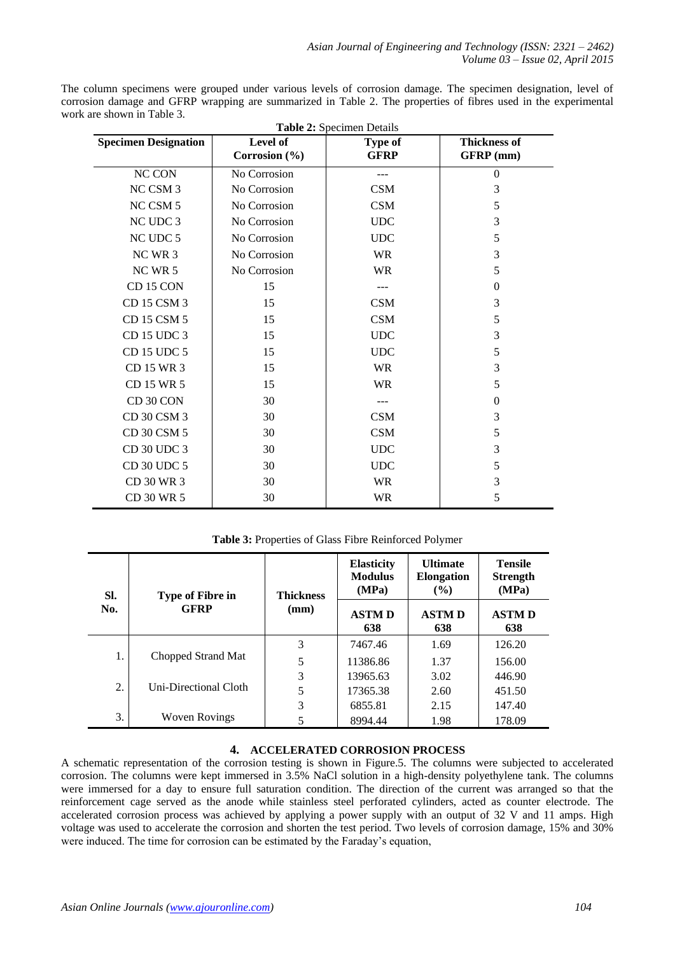The column specimens were grouped under various levels of corrosion damage. The specimen designation, level of corrosion damage and GFRP wrapping are summarized in Table 2. The properties of fibres used in the experimental work are shown in Table 3. **Table 2:** Specimen Details

| <b>Table 2:</b> Specimen Details |                           |                               |                                  |  |  |  |  |
|----------------------------------|---------------------------|-------------------------------|----------------------------------|--|--|--|--|
| <b>Specimen Designation</b>      | Level of<br>Corrosion (%) | <b>Type of</b><br><b>GFRP</b> | <b>Thickness of</b><br>GFRP (mm) |  |  |  |  |
|                                  |                           |                               |                                  |  |  |  |  |
| NC CON                           | No Corrosion              |                               | $\theta$                         |  |  |  |  |
| NC CSM 3                         | No Corrosion              | <b>CSM</b>                    | 3                                |  |  |  |  |
| NC CSM 5                         | No Corrosion              | <b>CSM</b>                    | 5                                |  |  |  |  |
| NC UDC 3                         | No Corrosion              | <b>UDC</b>                    | 3                                |  |  |  |  |
| NC UDC 5                         | No Corrosion              | <b>UDC</b>                    | 5                                |  |  |  |  |
| NC WR 3                          | No Corrosion              | <b>WR</b>                     | 3                                |  |  |  |  |
| NC WR 5                          | No Corrosion              | <b>WR</b>                     | 5                                |  |  |  |  |
| CD 15 CON                        | 15                        | ---                           | $\mathbf{0}$                     |  |  |  |  |
| CD 15 CSM 3                      | 15                        | <b>CSM</b>                    | 3                                |  |  |  |  |
| CD 15 CSM 5                      | 15                        | CSM                           | 5                                |  |  |  |  |
| CD 15 UDC 3                      | 15                        | <b>UDC</b>                    | 3                                |  |  |  |  |
| CD 15 UDC 5                      | 15                        | <b>UDC</b>                    | 5                                |  |  |  |  |
| CD 15 WR 3                       | 15                        | <b>WR</b>                     | 3                                |  |  |  |  |
| CD 15 WR 5                       | 15                        | <b>WR</b>                     | 5                                |  |  |  |  |
| CD 30 CON                        | 30                        |                               | $\mathbf{0}$                     |  |  |  |  |
| CD 30 CSM 3                      | 30                        | <b>CSM</b>                    | 3                                |  |  |  |  |
| CD 30 CSM 5                      | 30                        | <b>CSM</b>                    | 5                                |  |  |  |  |
| CD 30 UDC 3                      | 30                        | <b>UDC</b>                    | 3                                |  |  |  |  |
| CD 30 UDC 5                      | 30                        | <b>UDC</b>                    | 5                                |  |  |  |  |
| CD 30 WR 3                       | 30                        | <b>WR</b>                     | 3                                |  |  |  |  |
| CD 30 WR 5                       | 30                        | <b>WR</b>                     | 5                                |  |  |  |  |
|                                  |                           |                               |                                  |  |  |  |  |

### **Table 3:** Properties of Glass Fibre Reinforced Polymer

| SI.<br>No. | <b>Type of Fibre in</b>     | <b>Thickness</b><br>(mm) | <b>Elasticity</b><br><b>Modulus</b><br>(MPa) | <b>Ultimate</b><br><b>Elongation</b><br>$($ %) | <b>Tensile</b><br><b>Strength</b><br>(MPa) |
|------------|-----------------------------|--------------------------|----------------------------------------------|------------------------------------------------|--------------------------------------------|
|            | <b>GFRP</b>                 |                          | <b>ASTMD</b><br>638                          | <b>ASTMD</b><br>638                            | <b>ASTMD</b><br>638                        |
|            | 1.<br>Chopped Strand Mat    | 3                        | 7467.46                                      | 1.69                                           | 126.20                                     |
|            |                             | 5                        | 11386.86                                     | 1.37                                           | 156.00                                     |
|            |                             | 3                        | 13965.63                                     | 3.02                                           | 446.90                                     |
|            | 2.<br>Uni-Directional Cloth | 5                        | 17365.38                                     | 2.60                                           | 451.50                                     |
|            |                             | 3                        | 6855.81                                      | 2.15                                           | 147.40                                     |
| 3.         | <b>Woven Rovings</b>        | 5                        | 8994.44                                      | 1.98                                           | 178.09                                     |

## **4. ACCELERATED CORROSION PROCESS**

A schematic representation of the corrosion testing is shown in Figure.5. The columns were subjected to accelerated corrosion. The columns were kept immersed in 3.5% NaCl solution in a high-density polyethylene tank. The columns were immersed for a day to ensure full saturation condition. The direction of the current was arranged so that the reinforcement cage served as the anode while stainless steel perforated cylinders, acted as counter electrode. The accelerated corrosion process was achieved by applying a power supply with an output of 32 V and 11 amps. High voltage was used to accelerate the corrosion and shorten the test period. Two levels of corrosion damage, 15% and 30% were induced. The time for corrosion can be estimated by the Faraday's equation,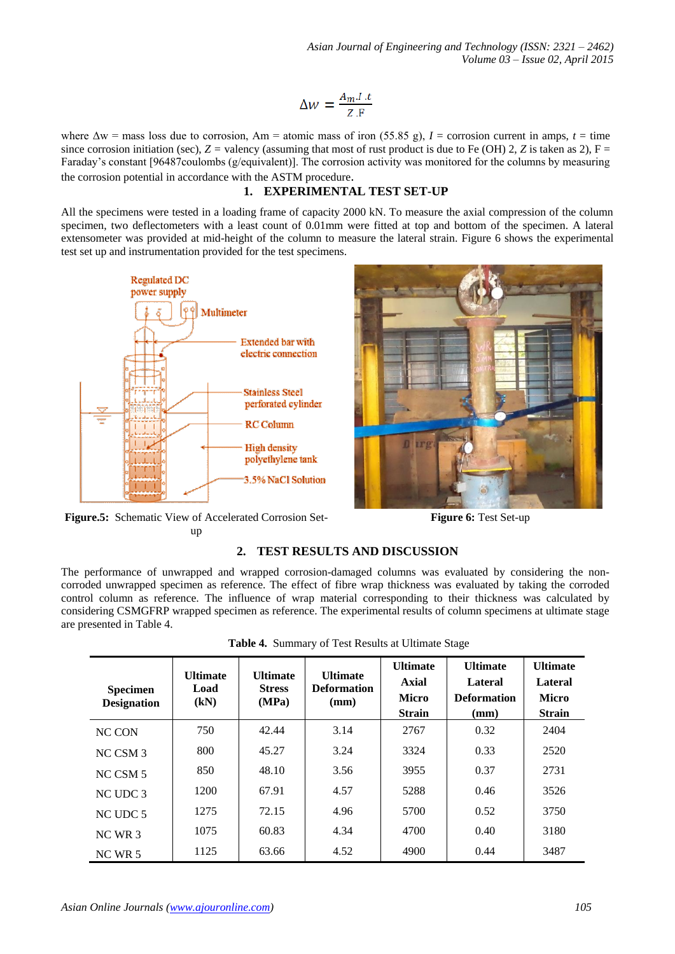*Asian Journal of Engineering and Technology (ISSN: 2321 – 2462) Volume 03 – Issue 02, April 2015*

$$
\Delta w = \frac{A_m \cdot I \cdot t}{Z \cdot F}
$$

where  $\Delta w$  = mass loss due to corrosion, Am = atomic mass of iron (55.85 g), *I* = corrosion current in amps, *t* = time since corrosion initiation (sec),  $Z =$  valency (assuming that most of rust product is due to Fe (OH) 2,  $Z$  is taken as 2),  $F =$ Faraday's constant [96487coulombs (g/equivalent)]. The corrosion activity was monitored for the columns by measuring the corrosion potential in accordance with the ASTM procedure.

#### **1. EXPERIMENTAL TEST SET-UP**

All the specimens were tested in a loading frame of capacity 2000 kN. To measure the axial compression of the column specimen, two deflectometers with a least count of 0.01mm were fitted at top and bottom of the specimen. A lateral extensometer was provided at mid-height of the column to measure the lateral strain. Figure 6 shows the experimental test set up and instrumentation provided for the test specimens.





**Figure.5:** Schematic View of Accelerated Corrosion Setup

**Figure 6:** Test Set-up

### **2. TEST RESULTS AND DISCUSSION**

The performance of unwrapped and wrapped corrosion-damaged columns was evaluated by considering the noncorroded unwrapped specimen as reference. The effect of fibre wrap thickness was evaluated by taking the corroded control column as reference. The influence of wrap material corresponding to their thickness was calculated by considering CSMGFRP wrapped specimen as reference. The experimental results of column specimens at ultimate stage are presented in Table 4.

| Table 4. Summary of Test Results at Ultimate Stage |  |
|----------------------------------------------------|--|
|----------------------------------------------------|--|

| <b>Specimen</b><br><b>Designation</b> | <b>Ultimate</b><br>Load<br>(kN) | <b>Ultimate</b><br><b>Stress</b><br>(MPa) | <b>Ultimate</b><br><b>Deformation</b><br>(mm) | <b>Ultimate</b><br><b>Axial</b><br><b>Micro</b><br><b>Strain</b> | <b>Ultimate</b><br>Lateral<br><b>Deformation</b><br>(mm) | <b>Ultimate</b><br>Lateral<br><b>Micro</b><br><b>Strain</b> |
|---------------------------------------|---------------------------------|-------------------------------------------|-----------------------------------------------|------------------------------------------------------------------|----------------------------------------------------------|-------------------------------------------------------------|
| NC CON                                | 750                             | 42.44                                     | 3.14                                          | 2767                                                             | 0.32                                                     | 2404                                                        |
| NC CSM 3                              | 800                             | 45.27                                     | 3.24                                          | 3324                                                             | 0.33                                                     | 2520                                                        |
| NC CSM 5                              | 850                             | 48.10                                     | 3.56                                          | 3955                                                             | 0.37                                                     | 2731                                                        |
| NC UDC 3                              | 1200                            | 67.91                                     | 4.57                                          | 5288                                                             | 0.46                                                     | 3526                                                        |
| NC UDC 5                              | 1275                            | 72.15                                     | 4.96                                          | 5700                                                             | 0.52                                                     | 3750                                                        |
| $NCWR$ 3                              | 1075                            | 60.83                                     | 4.34                                          | 4700                                                             | 0.40                                                     | 3180                                                        |
| $NC$ WR 5                             | 1125                            | 63.66                                     | 4.52                                          | 4900                                                             | 0.44                                                     | 3487                                                        |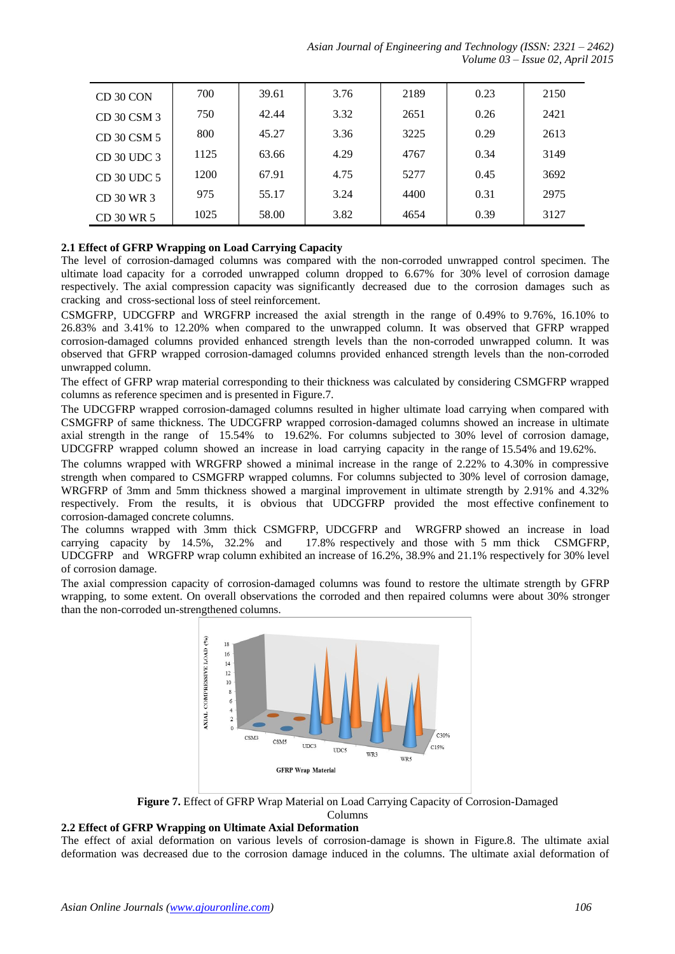| CD 30 CON     | 700  | 39.61 | 3.76 | 2189 | 0.23 | 2150 |
|---------------|------|-------|------|------|------|------|
| CD 30 CSM 3   | 750  | 42.44 | 3.32 | 2651 | 0.26 | 2421 |
| CD 30 CSM 5   | 800  | 45.27 | 3.36 | 3225 | 0.29 | 2613 |
| CD 30 UDC 3   | 1125 | 63.66 | 4.29 | 4767 | 0.34 | 3149 |
| $CD$ 30 UDC 5 | 1200 | 67.91 | 4.75 | 5277 | 0.45 | 3692 |
| CD 30 WR 3    | 975  | 55.17 | 3.24 | 4400 | 0.31 | 2975 |
| CD 30 WR 5    | 1025 | 58.00 | 3.82 | 4654 | 0.39 | 3127 |

## **2.1 Effect of GFRP Wrapping on Load Carrying Capacity**

The level of corrosion-damaged columns was compared with the non-corroded unwrapped control specimen. The ultimate load capacity for a corroded unwrapped column dropped to 6.67% for 30% level of corrosion damage respectively. The axial compression capacity was significantly decreased due to the corrosion damages such as cracking and cross-sectional loss of steel reinforcement.

CSMGFRP, UDCGFRP and WRGFRP increased the axial strength in the range of 0.49% to 9.76%, 16.10% to 26.83% and 3.41% to 12.20% when compared to the unwrapped column. It was observed that GFRP wrapped corrosion-damaged columns provided enhanced strength levels than the non-corroded unwrapped column. It was observed that GFRP wrapped corrosion-damaged columns provided enhanced strength levels than the non-corroded unwrapped column.

The effect of GFRP wrap material corresponding to their thickness was calculated by considering CSMGFRP wrapped columns as reference specimen and is presented in Figure.7.

The UDCGFRP wrapped corrosion-damaged columns resulted in higher ultimate load carrying when compared with CSMGFRP of same thickness. The UDCGFRP wrapped corrosion-damaged columns showed an increase in ultimate axial strength in the range of 15.54% to 19.62%. For columns subjected to 30% level of corrosion damage, UDCGFRP wrapped column showed an increase in load carrying capacity in the range of 15.54% and 19.62%.

The columns wrapped with WRGFRP showed a minimal increase in the range of 2.22% to 4.30% in compressive strength when compared to CSMGFRP wrapped columns. For columns subjected to 30% level of corrosion damage, WRGFRP of 3mm and 5mm thickness showed a marginal improvement in ultimate strength by 2.91% and 4.32% respectively. From the results, it is obvious that UDCGFRP provided the most effective confinement to corrosion-damaged concrete columns.

The columns wrapped with 3mm thick CSMGFRP, UDCGFRP and WRGFRP showed an increase in load carrying capacity by 14.5%, 32.2% and 17.8% respectively and those with 5 mm thick CSMGFRP, UDCGFRP and WRGFRP wrap column exhibited an increase of 16.2%, 38.9% and 21.1% respectively for 30% level of corrosion damage.

The axial compression capacity of corrosion-damaged columns was found to restore the ultimate strength by GFRP wrapping, to some extent. On overall observations the corroded and then repaired columns were about 30% stronger than the non-corroded un-strengthened columns.



**Figure 7.** Effect of GFRP Wrap Material on Load Carrying Capacity of Corrosion-Damaged

#### Columns **2.2 Effect of GFRP Wrapping on Ultimate Axial Deformation**

The effect of axial deformation on various levels of corrosion-damage is shown in Figure.8. The ultimate axial deformation was decreased due to the corrosion damage induced in the columns. The ultimate axial deformation of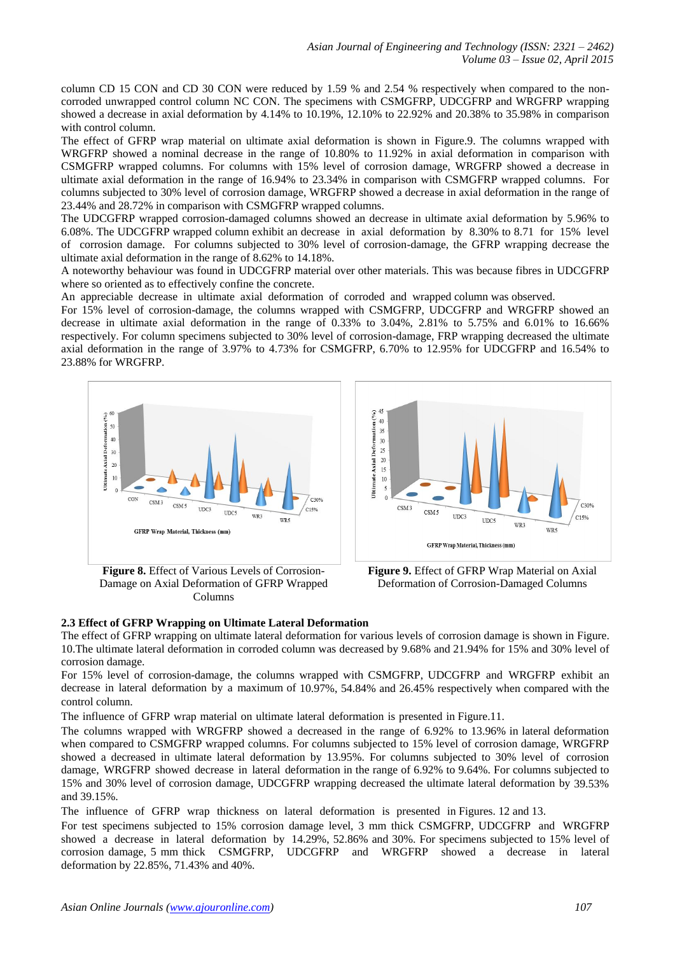column CD 15 CON and CD 30 CON were reduced by 1.59 % and 2.54 % respectively when compared to the noncorroded unwrapped control column NC CON. The specimens with CSMGFRP, UDCGFRP and WRGFRP wrapping showed a decrease in axial deformation by 4.14% to 10.19%, 12.10% to 22.92% and 20.38% to 35.98% in comparison with control column.

The effect of GFRP wrap material on ultimate axial deformation is shown in Figure.9. The columns wrapped with WRGFRP showed a nominal decrease in the range of 10.80% to 11.92% in axial deformation in comparison with CSMGFRP wrapped columns. For columns with 15% level of corrosion damage, WRGFRP showed a decrease in ultimate axial deformation in the range of 16.94% to 23.34% in comparison with CSMGFRP wrapped columns. For columns subjected to 30% level of corrosion damage, WRGFRP showed a decrease in axial deformation in the range of 23.44% and 28.72% in comparison with CSMGFRP wrapped columns.

The UDCGFRP wrapped corrosion-damaged columns showed an decrease in ultimate axial deformation by 5.96% to 6.08%. The UDCGFRP wrapped column exhibit an decrease in axial deformation by 8.30% to 8.71 for 15% level of corrosion damage. For columns subjected to 30% level of corrosion-damage, the GFRP wrapping decrease the ultimate axial deformation in the range of 8.62% to 14.18%.

A noteworthy behaviour was found in UDCGFRP material over other materials. This was because fibres in UDCGFRP where so oriented as to effectively confine the concrete.

An appreciable decrease in ultimate axial deformation of corroded and wrapped column was observed.

For 15% level of corrosion-damage, the columns wrapped with CSMGFRP, UDCGFRP and WRGFRP showed an decrease in ultimate axial deformation in the range of 0.33% to 3.04%, 2.81% to 5.75% and 6.01% to 16.66% respectively. For column specimens subjected to 30% level of corrosion-damage, FRP wrapping decreased the ultimate axial deformation in the range of 3.97% to 4.73% for CSMGFRP, 6.70% to 12.95% for UDCGFRP and 16.54% to 23.88% for WRGFRP.



**Figure 8.** Effect of Various Levels of Corrosion-Damage on Axial Deformation of GFRP Wrapped Columns



**Figure 9.** Effect of GFRP Wrap Material on Axial Deformation of Corrosion-Damaged Columns

### **2.3 Effect of GFRP Wrapping on Ultimate Lateral Deformation**

The effect of GFRP wrapping on ultimate lateral deformation for various levels of corrosion damage is shown in Figure. 10.The ultimate lateral deformation in corroded column was decreased by 9.68% and 21.94% for 15% and 30% level of corrosion damage.

For 15% level of corrosion-damage, the columns wrapped with CSMGFRP, UDCGFRP and WRGFRP exhibit an decrease in lateral deformation by a maximum of 10.97%, 54.84% and 26.45% respectively when compared with the control column.

The influence of GFRP wrap material on ultimate lateral deformation is presented in Figure.11.

The columns wrapped with WRGFRP showed a decreased in the range of 6.92% to 13.96% in lateral deformation when compared to CSMGFRP wrapped columns. For columns subjected to 15% level of corrosion damage, WRGFRP showed a decreased in ultimate lateral deformation by 13.95%. For columns subjected to 30% level of corrosion damage, WRGFRP showed decrease in lateral deformation in the range of 6.92% to 9.64%. For columns subjected to 15% and 30% level of corrosion damage, UDCGFRP wrapping decreased the ultimate lateral deformation by 39.53% and 39.15%.

The influence of GFRP wrap thickness on lateral deformation is presented in Figures. 12 and 13.

For test specimens subjected to 15% corrosion damage level, 3 mm thick CSMGFRP, UDCGFRP and WRGFRP showed a decrease in lateral deformation by 14.29%, 52.86% and 30%. For specimens subjected to 15% level of corrosion damage, 5 mm thick CSMGFRP, UDCGFRP and WRGFRP showed a decrease in lateral deformation by 22.85%, 71.43% and 40%.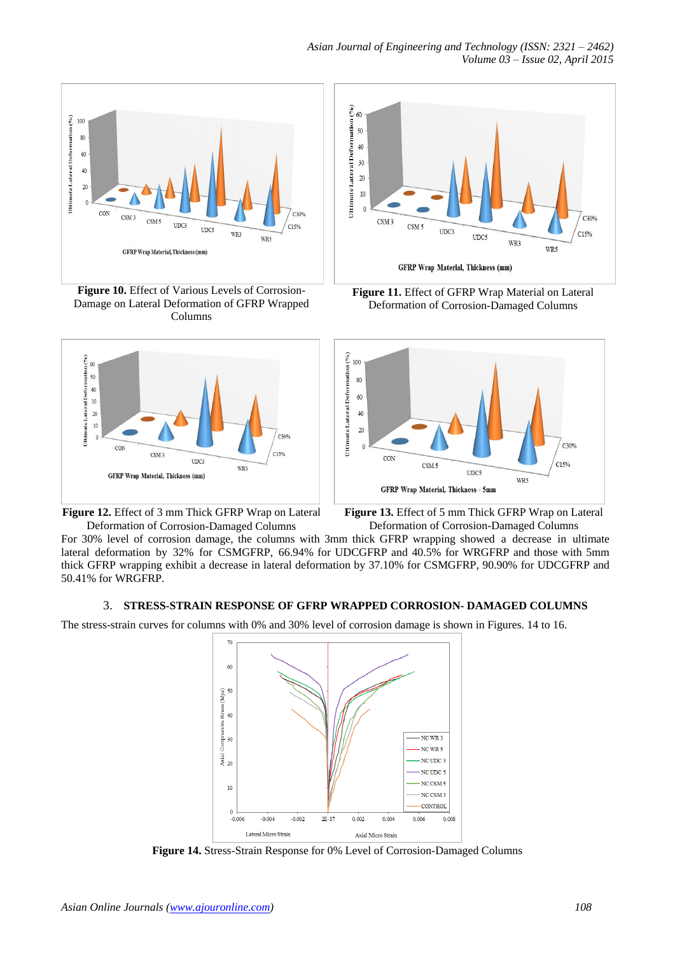

**Figure 10.** Effect of Various Levels of Corrosion-Damage on Lateral Deformation of GFRP Wrapped Columns



**Figure 12.** Effect of 3 mm Thick GFRP Wrap on Lateral Deformation of Corrosion-Damaged Columns



**Figure 11.** Effect of GFRP Wrap Material on Lateral Deformation of Corrosion-Damaged Columns



**Figure 13.** Effect of 5 mm Thick GFRP Wrap on Lateral Deformation of Corrosion-Damaged Columns

For 30% level of corrosion damage, the columns with 3mm thick GFRP wrapping showed a decrease in ultimate lateral deformation by 32% for CSMGFRP, 66.94% for UDCGFRP and 40.5% for WRGFRP and those with 5mm thick GFRP wrapping exhibit a decrease in lateral deformation by 37.10% for CSMGFRP, 90.90% for UDCGFRP and 50.41% for WRGFRP.

### 3. **STRESS-STRAIN RESPONSE OF GFRP WRAPPED CORROSION- DAMAGED COLUMNS**

The stress-strain curves for columns with 0% and 30% level of corrosion damage is shown in Figures. 14 to 16.



**Figure 14.** Stress-Strain Response for 0% Level of Corrosion-Damaged Columns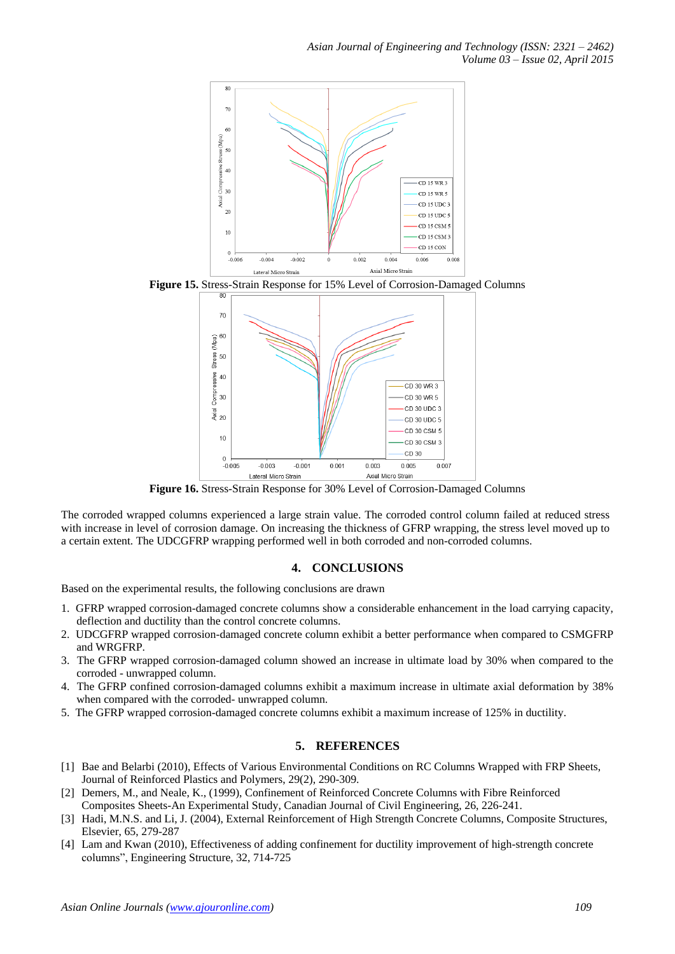

**Figure 15.** Stress-Strain Response for 15% Level of Corrosion-Damaged Columns



**Figure 16.** Stress-Strain Response for 30% Level of Corrosion-Damaged Columns

The corroded wrapped columns experienced a large strain value. The corroded control column failed at reduced stress with increase in level of corrosion damage. On increasing the thickness of GFRP wrapping, the stress level moved up to a certain extent. The UDCGFRP wrapping performed well in both corroded and non-corroded columns.

### **4. CONCLUSIONS**

Based on the experimental results, the following conclusions are drawn

- 1. GFRP wrapped corrosion-damaged concrete columns show a considerable enhancement in the load carrying capacity, deflection and ductility than the control concrete columns.
- 2. UDCGFRP wrapped corrosion-damaged concrete column exhibit a better performance when compared to CSMGFRP and WRGFRP.
- 3. The GFRP wrapped corrosion-damaged column showed an increase in ultimate load by 30% when compared to the corroded - unwrapped column.
- 4. The GFRP confined corrosion-damaged columns exhibit a maximum increase in ultimate axial deformation by 38% when compared with the corroded- unwrapped column.
- 5. The GFRP wrapped corrosion-damaged concrete columns exhibit a maximum increase of 125% in ductility.

### **5. REFERENCES**

- [1] Bae and Belarbi (2010), Effects of Various Environmental Conditions on RC Columns Wrapped with FRP Sheets, Journal of Reinforced Plastics and Polymers, 29(2), 290-309.
- [2] Demers, M., and Neale, K., (1999), Confinement of Reinforced Concrete Columns with Fibre Reinforced Composites Sheets-An Experimental Study, Canadian Journal of Civil Engineering, 26, 226-241.
- [3] Hadi, M.N.S. and Li, J. (2004), External Reinforcement of High Strength Concrete Columns, Composite Structures, Elsevier, 65, 279-287
- [4] Lam and Kwan (2010), Effectiveness of adding confinement for ductility improvement of high-strength concrete columns", Engineering Structure, 32, 714-725